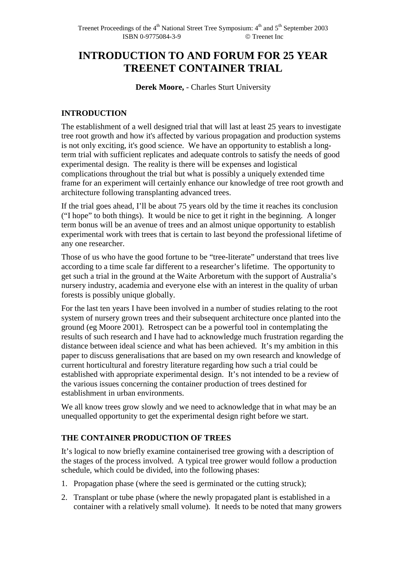# **INTRODUCTION TO AND FORUM FOR 25 YEAR TREENET CONTAINER TRIAL**

**Derek Moore,** - Charles Sturt University

## **INTRODUCTION**

The establishment of a well designed trial that will last at least 25 years to investigate tree root growth and how it's affected by various propagation and production systems is not only exciting, it's good science. We have an opportunity to establish a longterm trial with sufficient replicates and adequate controls to satisfy the needs of good experimental design. The reality is there will be expenses and logistical complications throughout the trial but what is possibly a uniquely extended time frame for an experiment will certainly enhance our knowledge of tree root growth and architecture following transplanting advanced trees.

If the trial goes ahead, I'll be about 75 years old by the time it reaches its conclusion ("I hope" to both things). It would be nice to get it right in the beginning. A longer term bonus will be an avenue of trees and an almost unique opportunity to establish experimental work with trees that is certain to last beyond the professional lifetime of any one researcher.

Those of us who have the good fortune to be "tree-literate" understand that trees live according to a time scale far different to a researcher's lifetime. The opportunity to get such a trial in the ground at the Waite Arboretum with the support of Australia's nursery industry, academia and everyone else with an interest in the quality of urban forests is possibly unique globally.

For the last ten years I have been involved in a number of studies relating to the root system of nursery grown trees and their subsequent architecture once planted into the ground (eg Moore 2001). Retrospect can be a powerful tool in contemplating the results of such research and I have had to acknowledge much frustration regarding the distance between ideal science and what has been achieved. It's my ambition in this paper to discuss generalisations that are based on my own research and knowledge of current horticultural and forestry literature regarding how such a trial could be established with appropriate experimental design. It's not intended to be a review of the various issues concerning the container production of trees destined for establishment in urban environments.

We all know trees grow slowly and we need to acknowledge that in what may be an unequalled opportunity to get the experimental design right before we start.

## **THE CONTAINER PRODUCTION OF TREES**

It's logical to now briefly examine containerised tree growing with a description of the stages of the process involved. A typical tree grower would follow a production schedule, which could be divided, into the following phases:

- 1. Propagation phase (where the seed is germinated or the cutting struck);
- 2. Transplant or tube phase (where the newly propagated plant is established in a container with a relatively small volume). It needs to be noted that many growers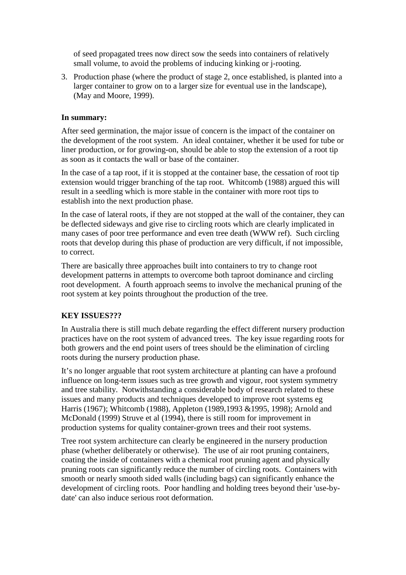of seed propagated trees now direct sow the seeds into containers of relatively small volume, to avoid the problems of inducing kinking or j-rooting.

3. Production phase (where the product of stage 2, once established, is planted into a larger container to grow on to a larger size for eventual use in the landscape), (May and Moore, 1999).

#### **In summary:**

After seed germination, the major issue of concern is the impact of the container on the development of the root system. An ideal container, whether it be used for tube or liner production, or for growing-on, should be able to stop the extension of a root tip as soon as it contacts the wall or base of the container.

In the case of a tap root, if it is stopped at the container base, the cessation of root tip extension would trigger branching of the tap root. Whitcomb (1988) argued this will result in a seedling which is more stable in the container with more root tips to establish into the next production phase.

In the case of lateral roots, if they are not stopped at the wall of the container, they can be deflected sideways and give rise to circling roots which are clearly implicated in many cases of poor tree performance and even tree death (WWW ref). Such circling roots that develop during this phase of production are very difficult, if not impossible, to correct.

There are basically three approaches built into containers to try to change root development patterns in attempts to overcome both taproot dominance and circling root development. A fourth approach seems to involve the mechanical pruning of the root system at key points throughout the production of the tree.

#### **KEY ISSUES???**

In Australia there is still much debate regarding the effect different nursery production practices have on the root system of advanced trees. The key issue regarding roots for both growers and the end point users of trees should be the elimination of circling roots during the nursery production phase.

It's no longer arguable that root system architecture at planting can have a profound influence on long-term issues such as tree growth and vigour, root system symmetry and tree stability. Notwithstanding a considerable body of research related to these issues and many products and techniques developed to improve root systems eg Harris (1967); Whitcomb (1988), Appleton (1989,1993 &1995, 1998); Arnold and McDonald (1999) Struve et al (1994), there is still room for improvement in production systems for quality container-grown trees and their root systems.

Tree root system architecture can clearly be engineered in the nursery production phase (whether deliberately or otherwise). The use of air root pruning containers, coating the inside of containers with a chemical root pruning agent and physically pruning roots can significantly reduce the number of circling roots. Containers with smooth or nearly smooth sided walls (including bags) can significantly enhance the development of circling roots. Poor handling and holding trees beyond their 'use-bydate' can also induce serious root deformation.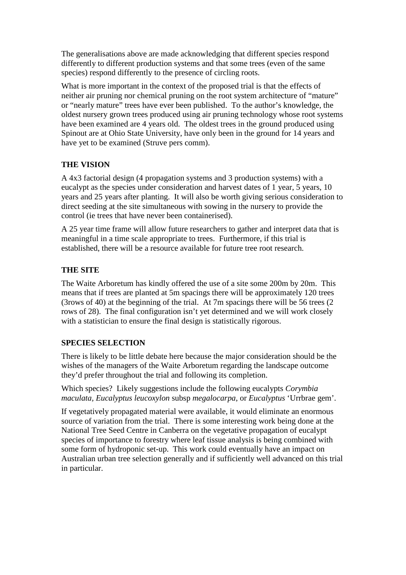The generalisations above are made acknowledging that different species respond differently to different production systems and that some trees (even of the same species) respond differently to the presence of circling roots.

What is more important in the context of the proposed trial is that the effects of neither air pruning nor chemical pruning on the root system architecture of "mature" or "nearly mature" trees have ever been published. To the author's knowledge, the oldest nursery grown trees produced using air pruning technology whose root systems have been examined are 4 years old. The oldest trees in the ground produced using Spinout are at Ohio State University, have only been in the ground for 14 years and have yet to be examined (Struve pers comm).

## **THE VISION**

A 4x3 factorial design (4 propagation systems and 3 production systems) with a eucalypt as the species under consideration and harvest dates of 1 year, 5 years, 10 years and 25 years after planting. It will also be worth giving serious consideration to direct seeding at the site simultaneous with sowing in the nursery to provide the control (ie trees that have never been containerised).

A 25 year time frame will allow future researchers to gather and interpret data that is meaningful in a time scale appropriate to trees. Furthermore, if this trial is established, there will be a resource available for future tree root research.

## **THE SITE**

The Waite Arboretum has kindly offered the use of a site some 200m by 20m. This means that if trees are planted at 5m spacings there will be approximately 120 trees (3rows of 40) at the beginning of the trial. At 7m spacings there will be 56 trees (2 rows of 28). The final configuration isn't yet determined and we will work closely with a statistician to ensure the final design is statistically rigorous.

## **SPECIES SELECTION**

There is likely to be little debate here because the major consideration should be the wishes of the managers of the Waite Arboretum regarding the landscape outcome they'd prefer throughout the trial and following its completion.

Which species? Likely suggestions include the following eucalypts *Corymbia maculata, Eucalyptus leucoxylon* subsp *megalocarpa*, or *Eucalyptus* 'Urrbrae gem'.

If vegetatively propagated material were available, it would eliminate an enormous source of variation from the trial. There is some interesting work being done at the National Tree Seed Centre in Canberra on the vegetative propagation of eucalypt species of importance to forestry where leaf tissue analysis is being combined with some form of hydroponic set-up. This work could eventually have an impact on Australian urban tree selection generally and if sufficiently well advanced on this trial in particular.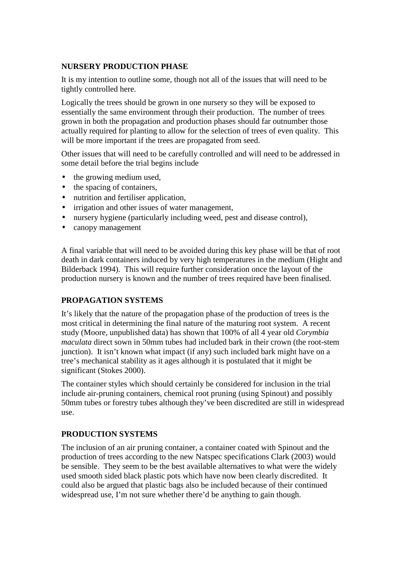#### **NURSERY PRODUCTION PHASE**

It is my intention to outline some, though not all of the issues that will need to be tightly controlled here.

Logically the trees should be grown in one nursery so they will be exposed to essentially the same environment through their production. The number of trees grown in both the propagation and production phases should far outnumber those actually required for planting to allow for the selection of trees of even quality. This will be more important if the trees are propagated from seed.

Other issues that will need to be carefully controlled and will need to be addressed in some detail before the trial begins include

- the growing medium used,
- the spacing of containers.
- nutrition and fertiliser application,
- irrigation and other issues of water management,
- nursery hygiene (particularly including weed, pest and disease control),
- canopy management

A final variable that will need to be avoided during this key phase will be that of root death in dark containers induced by very high temperatures in the medium (Hight and Bilderback 1994). This will require further consideration once the layout of the production nursery is known and the number of trees required have been finalised.

## **PROPAGATION SYSTEMS**

It's likely that the nature of the propagation phase of the production of trees is the most critical in determining the final nature of the maturing root system. A recent study (Moore, unpublished data) has shown that 100% of all 4 year old *Corymbia maculata* direct sown in 50mm tubes had included bark in their crown (the root-stem junction). It isn't known what impact (if any) such included bark might have on a tree's mechanical stability as it ages although it is postulated that it might be significant (Stokes 2000).

The container styles which should certainly be considered for inclusion in the trial include air-pruning containers, chemical root pruning (using Spinout) and possibly 50mm tubes or forestry tubes although they've been discredited are still in widespread use.

#### **PRODUCTION SYSTEMS**

The inclusion of an air pruning container, a container coated with Spinout and the production of trees according to the new Natspec specifications Clark (2003) would be sensible. They seem to be the best available alternatives to what were the widely used smooth sided black plastic pots which have now been clearly discredited. It could also be argued that plastic bags also be included because of their continued widespread use, I'm not sure whether there'd be anything to gain though.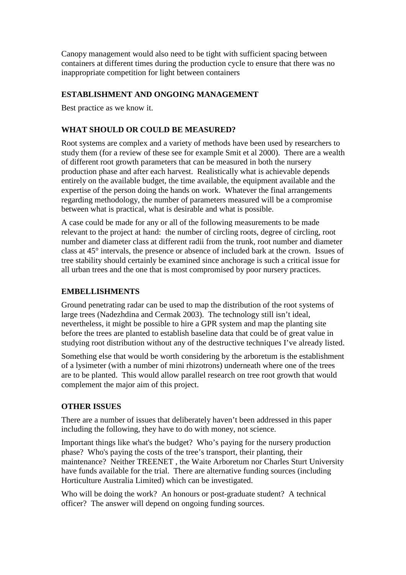Canopy management would also need to be tight with sufficient spacing between containers at different times during the production cycle to ensure that there was no inappropriate competition for light between containers

### **ESTABLISHMENT AND ONGOING MANAGEMENT**

Best practice as we know it.

#### **WHAT SHOULD OR COULD BE MEASURED?**

Root systems are complex and a variety of methods have been used by researchers to study them (for a review of these see for example Smit et al 2000). There are a wealth of different root growth parameters that can be measured in both the nursery production phase and after each harvest. Realistically what is achievable depends entirely on the available budget, the time available, the equipment available and the expertise of the person doing the hands on work. Whatever the final arrangements regarding methodology, the number of parameters measured will be a compromise between what is practical, what is desirable and what is possible.

A case could be made for any or all of the following measurements to be made relevant to the project at hand: the number of circling roots, degree of circling, root number and diameter class at different radii from the trunk, root number and diameter class at 45° intervals, the presence or absence of included bark at the crown. Issues of tree stability should certainly be examined since anchorage is such a critical issue for all urban trees and the one that is most compromised by poor nursery practices.

#### **EMBELLISHMENTS**

Ground penetrating radar can be used to map the distribution of the root systems of large trees (Nadezhdina and Cermak 2003). The technology still isn't ideal, nevertheless, it might be possible to hire a GPR system and map the planting site before the trees are planted to establish baseline data that could be of great value in studying root distribution without any of the destructive techniques I've already listed.

Something else that would be worth considering by the arboretum is the establishment of a lysimeter (with a number of mini rhizotrons) underneath where one of the trees are to be planted. This would allow parallel research on tree root growth that would complement the major aim of this project.

#### **OTHER ISSUES**

There are a number of issues that deliberately haven't been addressed in this paper including the following, they have to do with money, not science.

Important things like what's the budget? Who's paying for the nursery production phase? Who's paying the costs of the tree's transport, their planting, their maintenance? Neither TREENET , the Waite Arboretum nor Charles Sturt University have funds available for the trial. There are alternative funding sources (including Horticulture Australia Limited) which can be investigated.

Who will be doing the work? An honours or post-graduate student? A technical officer? The answer will depend on ongoing funding sources.